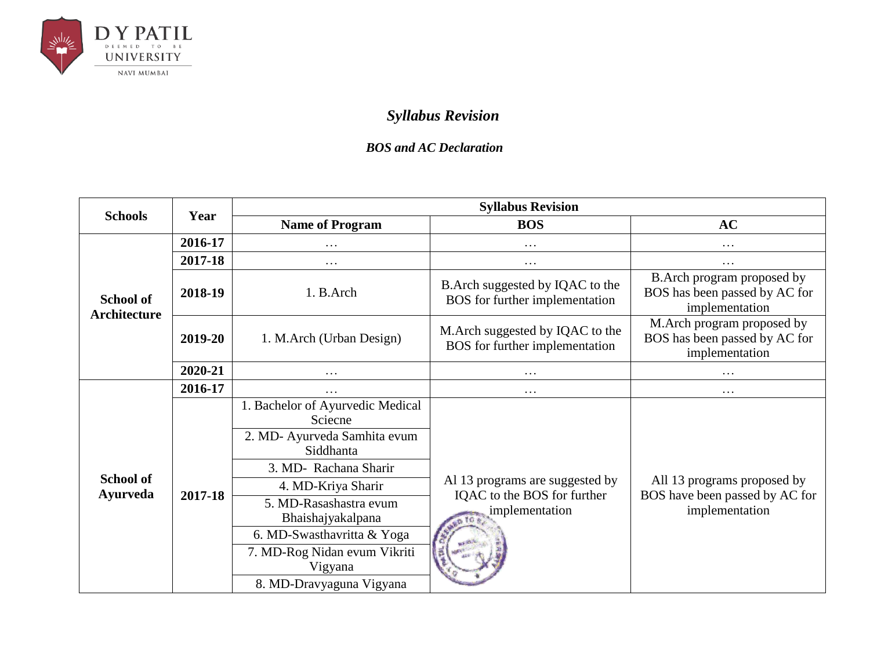

## *Syllabus Revision*

## *BOS and AC Declaration*

| <b>Schools</b>                      | Year    | <b>Syllabus Revision</b>                                                                                                                                                               |                                                                                                    |                                                                                 |  |
|-------------------------------------|---------|----------------------------------------------------------------------------------------------------------------------------------------------------------------------------------------|----------------------------------------------------------------------------------------------------|---------------------------------------------------------------------------------|--|
|                                     |         | <b>Name of Program</b>                                                                                                                                                                 | <b>BOS</b>                                                                                         | <b>AC</b>                                                                       |  |
|                                     | 2016-17 | .                                                                                                                                                                                      | .                                                                                                  | $\cdots$                                                                        |  |
|                                     | 2017-18 | $\cdots$                                                                                                                                                                               | $\cdots$                                                                                           | $\cdots$                                                                        |  |
| <b>School of</b><br>Architecture    | 2018-19 | 1. B.Arch                                                                                                                                                                              | B. Arch suggested by IQAC to the<br>BOS for further implementation                                 | B. Arch program proposed by<br>BOS has been passed by AC for<br>implementation  |  |
|                                     | 2019-20 | 1. M.Arch (Urban Design)                                                                                                                                                               | M. Arch suggested by IQAC to the<br>BOS for further implementation                                 | M.Arch program proposed by<br>BOS has been passed by AC for<br>implementation   |  |
|                                     | 2020-21 | $\cdots$                                                                                                                                                                               | .                                                                                                  | $\cdots$                                                                        |  |
|                                     | 2016-17 | .                                                                                                                                                                                      | .                                                                                                  | $\cdots$                                                                        |  |
| <b>School of</b><br><b>Ayurveda</b> | 2017-18 | 1. Bachelor of Ayurvedic Medical<br>Sciecne<br>2. MD- Ayurveda Samhita evum<br>Siddhanta<br>3. MD- Rachana Sharir<br>4. MD-Kriya Sharir<br>5. MD-Rasashastra evum<br>Bhaishajyakalpana | Al 13 programs are suggested by<br>IQAC to the BOS for further<br>implementation<br><b>RD TO A</b> | All 13 programs proposed by<br>BOS have been passed by AC for<br>implementation |  |
|                                     |         | 6. MD-Swasthavritta & Yoga<br>7. MD-Rog Nidan evum Vikriti<br>Vigyana<br>8. MD-Dravyaguna Vigyana                                                                                      |                                                                                                    |                                                                                 |  |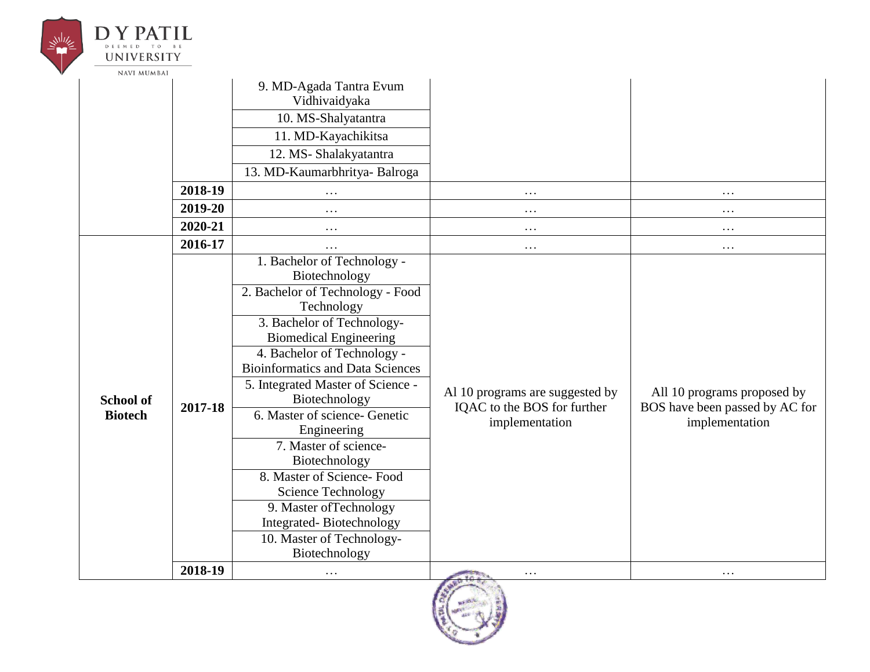| <b>UNIVERSITY</b>  |         |                                                                                  |                                                                                  |                                                               |
|--------------------|---------|----------------------------------------------------------------------------------|----------------------------------------------------------------------------------|---------------------------------------------------------------|
| <b>NAVI MUMBAI</b> |         |                                                                                  |                                                                                  |                                                               |
|                    |         | 9. MD-Agada Tantra Evum<br>Vidhivaidyaka                                         |                                                                                  |                                                               |
|                    |         | 10. MS-Shalyatantra                                                              |                                                                                  |                                                               |
|                    |         | 11. MD-Kayachikitsa                                                              |                                                                                  |                                                               |
|                    |         | 12. MS-Shalakyatantra                                                            |                                                                                  |                                                               |
|                    |         | 13. MD-Kaumarbhritya- Balroga                                                    |                                                                                  |                                                               |
|                    | 2018-19 | $\cdots$                                                                         | .                                                                                | $\cdots$                                                      |
|                    | 2019-20 | $\cdots$                                                                         | $\cdots$                                                                         | $\cdots$                                                      |
|                    | 2020-21 | $\cdots$                                                                         | .                                                                                | $\cdots$                                                      |
|                    | 2016-17 | $\cdots$                                                                         | $\cdots$                                                                         | $\cdots$                                                      |
|                    |         | 1. Bachelor of Technology -<br>Biotechnology<br>2. Bachelor of Technology - Food |                                                                                  |                                                               |
|                    | 2017-18 | Technology<br>3. Bachelor of Technology-<br><b>Biomedical Engineering</b>        | Al 10 programs are suggested by<br>IQAC to the BOS for further<br>implementation | All 10 programs proposed by<br>BOS have been passed by AC for |
|                    |         | 4. Bachelor of Technology -<br><b>Bioinformatics and Data Sciences</b>           |                                                                                  |                                                               |
| <b>School of</b>   |         | 5. Integrated Master of Science -<br>Biotechnology                               |                                                                                  |                                                               |
| <b>Biotech</b>     |         | 6. Master of science- Genetic                                                    |                                                                                  | implementation                                                |
|                    |         | Engineering<br>7. Master of science-<br>Biotechnology                            |                                                                                  |                                                               |
|                    |         | 8. Master of Science-Food<br><b>Science Technology</b>                           |                                                                                  |                                                               |
|                    |         | 9. Master of Technology<br>Integrated-Biotechnology                              |                                                                                  |                                                               |
|                    |         | 10. Master of Technology-<br>Biotechnology                                       |                                                                                  |                                                               |
|                    | 2018-19 | $\cdots$                                                                         | .                                                                                | $\cdots$                                                      |

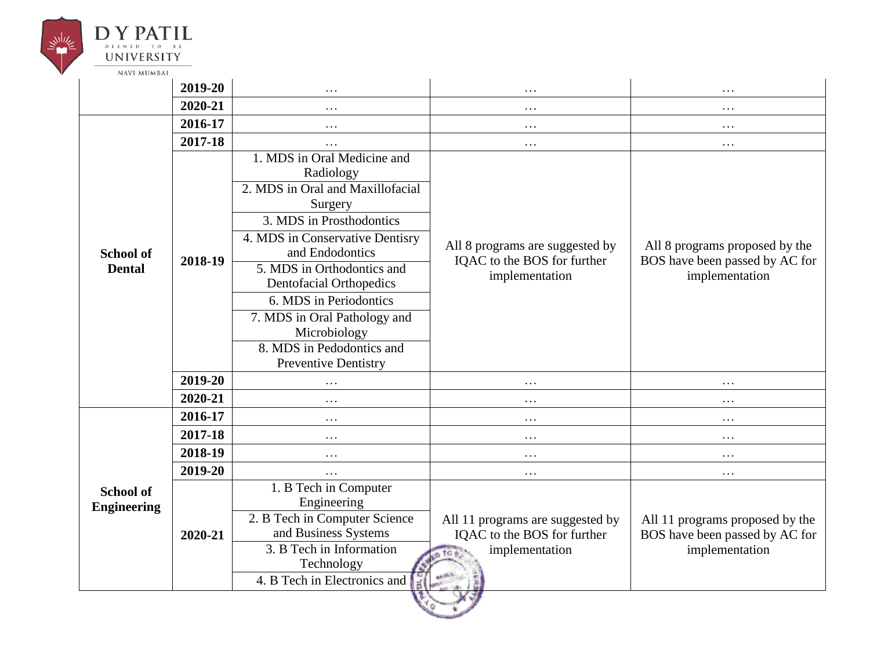

## **DY PATIL** DEEMED TO BE **UNIVERSITY**

|                                        | 2019-20 | .                                                                                                                                                                                                                                                                                                                                                                 | $\ddotsc$                                                                                            | $\ddotsc$                                                                           |
|----------------------------------------|---------|-------------------------------------------------------------------------------------------------------------------------------------------------------------------------------------------------------------------------------------------------------------------------------------------------------------------------------------------------------------------|------------------------------------------------------------------------------------------------------|-------------------------------------------------------------------------------------|
|                                        | 2020-21 | .                                                                                                                                                                                                                                                                                                                                                                 | .                                                                                                    | $\ddots$                                                                            |
|                                        | 2016-17 | .                                                                                                                                                                                                                                                                                                                                                                 | .                                                                                                    | $\cdots$                                                                            |
|                                        | 2017-18 | .                                                                                                                                                                                                                                                                                                                                                                 | $\cdots$                                                                                             | $\cdots$                                                                            |
| <b>School of</b><br><b>Dental</b>      | 2018-19 | 1. MDS in Oral Medicine and<br>Radiology<br>2. MDS in Oral and Maxillofacial<br>Surgery<br>3. MDS in Prosthodontics<br>4. MDS in Conservative Dentisry<br>and Endodontics<br>5. MDS in Orthodontics and<br>Dentofacial Orthopedics<br>6. MDS in Periodontics<br>7. MDS in Oral Pathology and<br>Microbiology<br>8. MDS in Pedodontics and<br>Preventive Dentistry | All 8 programs are suggested by<br>IQAC to the BOS for further<br>implementation                     | All 8 programs proposed by the<br>BOS have been passed by AC for<br>implementation  |
|                                        | 2019-20 | .                                                                                                                                                                                                                                                                                                                                                                 | .                                                                                                    | $\ddots$                                                                            |
|                                        | 2020-21 |                                                                                                                                                                                                                                                                                                                                                                   |                                                                                                      | .                                                                                   |
|                                        | 2016-17 | .                                                                                                                                                                                                                                                                                                                                                                 | .                                                                                                    | $\cdots$                                                                            |
|                                        | 2017-18 | .                                                                                                                                                                                                                                                                                                                                                                 | .                                                                                                    | .                                                                                   |
|                                        | 2018-19 | .                                                                                                                                                                                                                                                                                                                                                                 | .                                                                                                    | $\ddots$                                                                            |
|                                        | 2019-20 | .                                                                                                                                                                                                                                                                                                                                                                 | .                                                                                                    | $\cdots$                                                                            |
| <b>School of</b><br><b>Engineering</b> | 2020-21 | 1. B Tech in Computer<br>Engineering<br>2. B Tech in Computer Science<br>and Business Systems<br>3. B Tech in Information<br>Technology<br>4. B Tech in Electronics and                                                                                                                                                                                           | All 11 programs are suggested by<br>IQAC to the BOS for further<br>implementation<br>TG <sub>*</sub> | All 11 programs proposed by the<br>BOS have been passed by AC for<br>implementation |
|                                        |         |                                                                                                                                                                                                                                                                                                                                                                   |                                                                                                      |                                                                                     |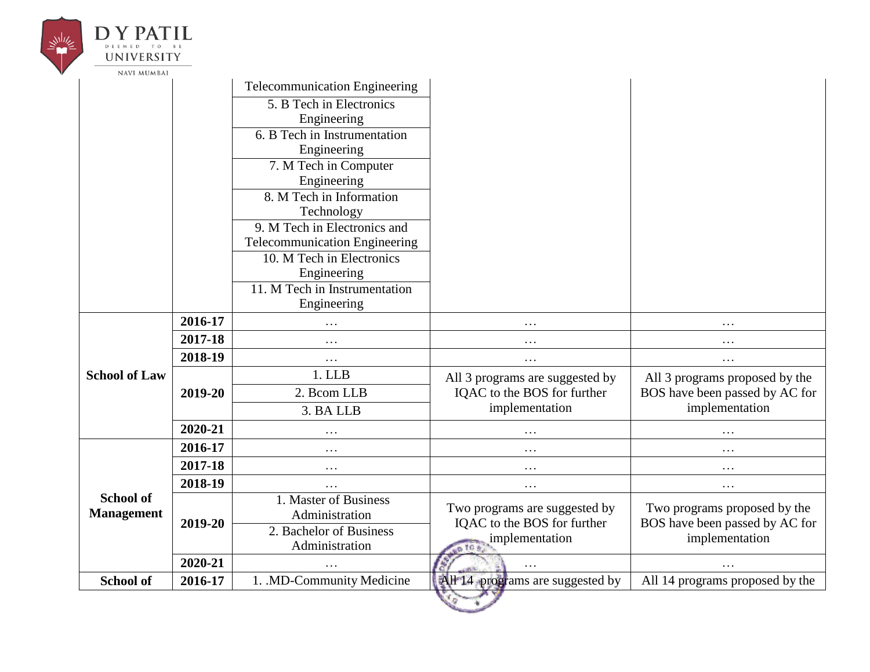| D Y PATIL                             |         |                                                            |                                  |                                 |
|---------------------------------------|---------|------------------------------------------------------------|----------------------------------|---------------------------------|
| UNIVERSITY                            |         |                                                            |                                  |                                 |
| <b>NAVI MUMBAI</b>                    |         | <b>Telecommunication Engineering</b>                       |                                  |                                 |
|                                       |         | 5. B Tech in Electronics                                   |                                  |                                 |
|                                       |         | Engineering                                                |                                  |                                 |
|                                       |         | 6. B Tech in Instrumentation                               |                                  |                                 |
|                                       |         | Engineering                                                |                                  |                                 |
|                                       |         | 7. M Tech in Computer                                      |                                  |                                 |
|                                       |         | Engineering                                                |                                  |                                 |
|                                       |         | 8. M Tech in Information                                   |                                  |                                 |
|                                       |         | Technology                                                 |                                  |                                 |
|                                       |         | 9. M Tech in Electronics and                               |                                  |                                 |
|                                       |         | Telecommunication Engineering<br>10. M Tech in Electronics |                                  |                                 |
|                                       |         | Engineering                                                |                                  |                                 |
|                                       |         | 11. M Tech in Instrumentation                              |                                  |                                 |
|                                       |         | Engineering                                                |                                  |                                 |
|                                       | 2016-17 | $\cdots$                                                   | $\cdots$                         | $\cdots$                        |
|                                       | 2017-18 | $\cdots$                                                   | .                                | $\cdots$                        |
|                                       | 2018-19 | $\cdots$                                                   | $\cdots$                         | $\cdots$                        |
| <b>School of Law</b>                  |         | 1. LLB                                                     | All 3 programs are suggested by  | All 3 programs proposed by the  |
|                                       | 2019-20 | 2. Bcom LLB                                                | IQAC to the BOS for further      | BOS have been passed by AC for  |
|                                       |         | 3. BA LLB                                                  | implementation                   | implementation                  |
|                                       | 2020-21 | $\ddots$                                                   | .                                | .                               |
|                                       | 2016-17 | $\cdots$                                                   | .                                | $\cdots$                        |
|                                       | 2017-18 | $\cdots$                                                   | .                                | $\cdots$                        |
|                                       | 2018-19 | $\ddots$                                                   | $\cdots$                         | $\ddots$                        |
| <b>School of</b><br><b>Management</b> |         | 1. Master of Business                                      | Two programs are suggested by    | Two programs proposed by the    |
|                                       | 2019-20 | Administration                                             | IQAC to the BOS for further      | BOS have been passed by AC for  |
|                                       |         | 2. Bachelor of Business                                    | implementation                   | implementation                  |
|                                       |         | Administration                                             | un fo e                          |                                 |
|                                       | 2020-21 | $\cdots$                                                   | B<br>.                           | $\cdots$                        |
| School of                             | 2016-17 | 1. .MD-Community Medicine                                  | All 14 programs are suggested by | All 14 programs proposed by the |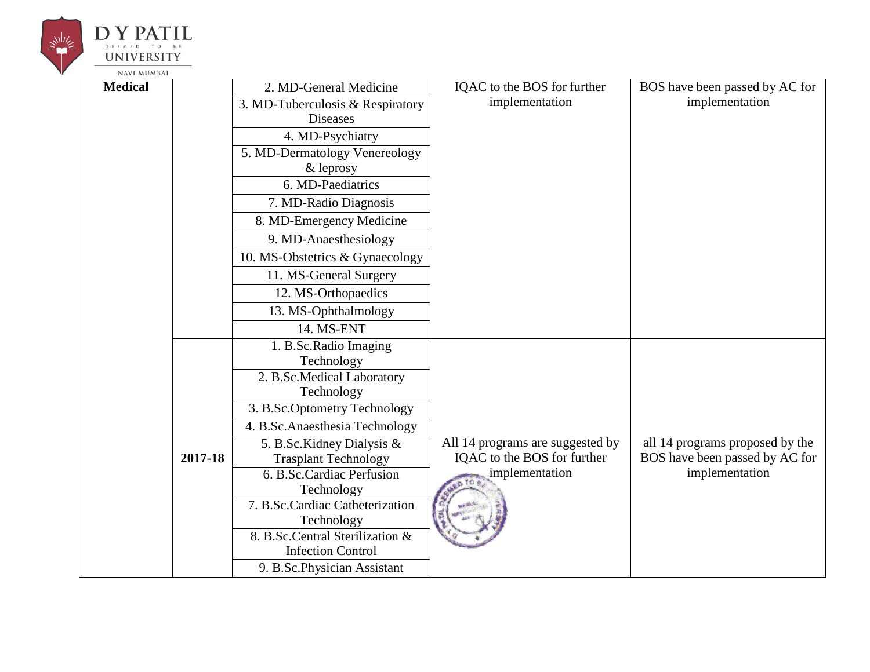| UNIVERSITY         |         |                                                             |                                  |                                 |
|--------------------|---------|-------------------------------------------------------------|----------------------------------|---------------------------------|
| <b>NAVI MUMBAI</b> |         |                                                             |                                  |                                 |
| <b>Medical</b>     |         | 2. MD-General Medicine                                      | IQAC to the BOS for further      | BOS have been passed by AC for  |
|                    |         | 3. MD-Tuberculosis & Respiratory                            | implementation                   | implementation                  |
|                    |         | <b>Diseases</b>                                             |                                  |                                 |
|                    |         | 4. MD-Psychiatry                                            |                                  |                                 |
|                    |         | 5. MD-Dermatology Venereology                               |                                  |                                 |
|                    |         | $&$ leprosy                                                 |                                  |                                 |
|                    |         | 6. MD-Paediatrics                                           |                                  |                                 |
|                    |         | 7. MD-Radio Diagnosis                                       |                                  |                                 |
|                    |         | 8. MD-Emergency Medicine                                    |                                  |                                 |
|                    |         | 9. MD-Anaesthesiology                                       |                                  |                                 |
|                    |         | 10. MS-Obstetrics & Gynaecology                             |                                  |                                 |
|                    |         | 11. MS-General Surgery                                      |                                  |                                 |
|                    |         | 12. MS-Orthopaedics                                         |                                  |                                 |
|                    |         | 13. MS-Ophthalmology                                        |                                  |                                 |
|                    |         | 14. MS-ENT                                                  |                                  |                                 |
|                    |         | 1. B.Sc.Radio Imaging                                       |                                  |                                 |
|                    |         | Technology                                                  |                                  |                                 |
|                    |         | 2. B.Sc.Medical Laboratory                                  |                                  |                                 |
|                    |         | Technology                                                  |                                  |                                 |
|                    |         | 3. B.Sc.Optometry Technology                                |                                  |                                 |
|                    |         | 4. B.Sc.Anaesthesia Technology                              |                                  |                                 |
|                    |         | 5. B.Sc.Kidney Dialysis &                                   | All 14 programs are suggested by | all 14 programs proposed by the |
|                    | 2017-18 | <b>Trasplant Technology</b>                                 | IQAC to the BOS for further      | BOS have been passed by AC for  |
|                    |         | 6. B.Sc.Cardiac Perfusion                                   | implementation                   | implementation                  |
|                    |         | Technology                                                  |                                  |                                 |
|                    |         | 7. B.Sc.Cardiac Catheterization                             |                                  |                                 |
|                    |         | Technology                                                  |                                  |                                 |
|                    |         | 8. B.Sc.Central Sterilization &<br><b>Infection Control</b> |                                  |                                 |
|                    |         |                                                             |                                  |                                 |
|                    |         | 9. B.Sc.Physician Assistant                                 |                                  |                                 |

**DY PATIL** 

 $\leq \frac{1}{2} \left| \frac{1}{2} \right| \leq \frac{1}{2}$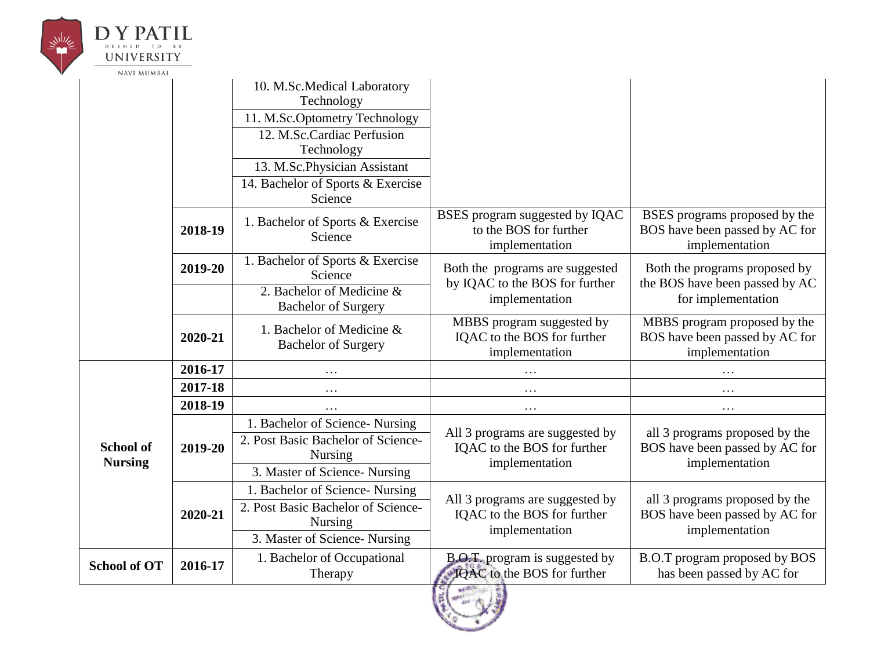|  | D Y PAT                            |         |                                                                                         |                                                                                  |                                                                                    |
|--|------------------------------------|---------|-----------------------------------------------------------------------------------------|----------------------------------------------------------------------------------|------------------------------------------------------------------------------------|
|  | UNIVERSITY                         |         |                                                                                         |                                                                                  |                                                                                    |
|  | <b>NAVI MUMBAI</b>                 |         |                                                                                         |                                                                                  |                                                                                    |
|  |                                    |         | 10. M.Sc.Medical Laboratory<br>Technology                                               |                                                                                  |                                                                                    |
|  |                                    |         | 11. M.Sc.Optometry Technology                                                           |                                                                                  |                                                                                    |
|  |                                    |         | 12. M.Sc.Cardiac Perfusion<br>Technology                                                |                                                                                  |                                                                                    |
|  |                                    |         | 13. M.Sc.Physician Assistant                                                            |                                                                                  |                                                                                    |
|  |                                    |         | 14. Bachelor of Sports & Exercise<br>Science                                            |                                                                                  |                                                                                    |
|  |                                    | 2018-19 | 1. Bachelor of Sports & Exercise<br>Science                                             | BSES program suggested by IQAC<br>to the BOS for further<br>implementation       | BSES programs proposed by the<br>BOS have been passed by AC for<br>implementation  |
|  |                                    | 2019-20 | 1. Bachelor of Sports & Exercise<br>Science                                             | Both the programs are suggested<br>by IQAC to the BOS for further                | Both the programs proposed by<br>the BOS have been passed by AC                    |
|  |                                    |         | 2. Bachelor of Medicine &<br><b>Bachelor of Surgery</b>                                 | implementation                                                                   | for implementation                                                                 |
|  |                                    | 2020-21 | 1. Bachelor of Medicine &<br><b>Bachelor of Surgery</b>                                 | MBBS program suggested by<br>IQAC to the BOS for further<br>implementation       | MBBS program proposed by the<br>BOS have been passed by AC for<br>implementation   |
|  |                                    | 2016-17 | $\cdots$                                                                                | .                                                                                | $\cdots$                                                                           |
|  |                                    | 2017-18 | .                                                                                       | .                                                                                | $\cdots$                                                                           |
|  |                                    | 2018-19 | .                                                                                       | $\cdots$                                                                         | $\cdots$                                                                           |
|  | <b>School of</b><br><b>Nursing</b> | 2019-20 | 1. Bachelor of Science- Nursing<br>2. Post Basic Bachelor of Science-<br><b>Nursing</b> | All 3 programs are suggested by<br>IQAC to the BOS for further<br>implementation | all 3 programs proposed by the<br>BOS have been passed by AC for<br>implementation |
|  |                                    |         | 3. Master of Science-Nursing                                                            |                                                                                  |                                                                                    |
|  |                                    |         | 1. Bachelor of Science- Nursing                                                         | All 3 programs are suggested by                                                  | all 3 programs proposed by the                                                     |
|  |                                    | 2020-21 | 2. Post Basic Bachelor of Science-<br>Nursing                                           | IQAC to the BOS for further<br>implementation                                    | BOS have been passed by AC for<br>implementation                                   |
|  |                                    |         | 3. Master of Science-Nursing                                                            |                                                                                  |                                                                                    |
|  | <b>School of OT</b>                | 2016-17 | 1. Bachelor of Occupational<br>Therapy                                                  | B.O.T. program is suggested by<br>IQAC to the BOS for further                    | B.O.T program proposed by BOS<br>has been passed by AC for                         |
|  |                                    |         |                                                                                         | <b>CIT WAS A REAL</b>                                                            |                                                                                    |

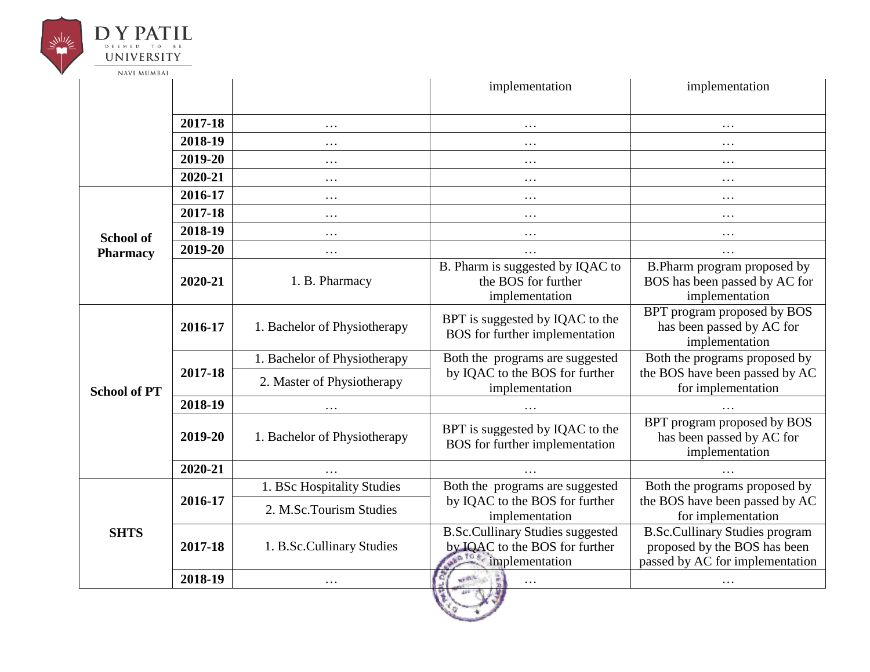

|                     |         |                              | implementation                                                                              | implementation                                                                                           |
|---------------------|---------|------------------------------|---------------------------------------------------------------------------------------------|----------------------------------------------------------------------------------------------------------|
|                     | 2017-18 | $\ddots$                     | .                                                                                           | $\cdots$                                                                                                 |
|                     | 2018-19 | $\cdots$                     | $\cdots$                                                                                    | $\cdots$                                                                                                 |
|                     | 2019-20 | $\ddots$                     | $\cdots$                                                                                    | $\cdots$                                                                                                 |
|                     | 2020-21 | $\cdots$                     | $\cdots$                                                                                    | $\ddots$                                                                                                 |
|                     | 2016-17 | $\ddots$                     | $\cdots$                                                                                    | $\cdots$                                                                                                 |
|                     | 2017-18 | $\ddots$                     | $\cdots$                                                                                    | $\ddots$                                                                                                 |
| <b>School of</b>    | 2018-19 | $\ddots$                     | $\cdots$                                                                                    | $\cdots$                                                                                                 |
| <b>Pharmacy</b>     | 2019-20 | $\cdots$                     | $\cdots$                                                                                    | $\ddots$                                                                                                 |
|                     | 2020-21 | 1. B. Pharmacy               | B. Pharm is suggested by IQAC to<br>the BOS for further<br>implementation                   | B. Pharm program proposed by<br>BOS has been passed by AC for<br>implementation                          |
| <b>School of PT</b> | 2016-17 | 1. Bachelor of Physiotherapy | BPT is suggested by IQAC to the<br>BOS for further implementation                           | BPT program proposed by BOS<br>has been passed by AC for<br>implementation                               |
|                     | 2017-18 | 1. Bachelor of Physiotherapy | Both the programs are suggested                                                             | Both the programs proposed by                                                                            |
|                     |         | 2. Master of Physiotherapy   | by IQAC to the BOS for further<br>implementation                                            | the BOS have been passed by AC<br>for implementation                                                     |
|                     | 2018-19 |                              |                                                                                             |                                                                                                          |
|                     | 2019-20 | 1. Bachelor of Physiotherapy | BPT is suggested by IQAC to the<br>BOS for further implementation                           | BPT program proposed by BOS<br>has been passed by AC for<br>implementation                               |
|                     | 2020-21 | $\ldots$                     | $\cdots$                                                                                    |                                                                                                          |
|                     |         | 1. BSc Hospitality Studies   | Both the programs are suggested                                                             | Both the programs proposed by                                                                            |
| <b>SHTS</b>         | 2016-17 | 2. M.Sc.Tourism Studies      | by IQAC to the BOS for further<br>implementation                                            | the BOS have been passed by AC<br>for implementation                                                     |
|                     | 2017-18 | 1. B.Sc.Cullinary Studies    | <b>B.Sc.Cullinary Studies suggested</b><br>by IQAC to the BOS for further<br>implementation | <b>B.Sc.Cullinary Studies program</b><br>proposed by the BOS has been<br>passed by AC for implementation |
|                     | 2018-19 | $\cdots$                     | <b>HALL</b><br>$\cdots$                                                                     |                                                                                                          |
|                     |         |                              |                                                                                             |                                                                                                          |